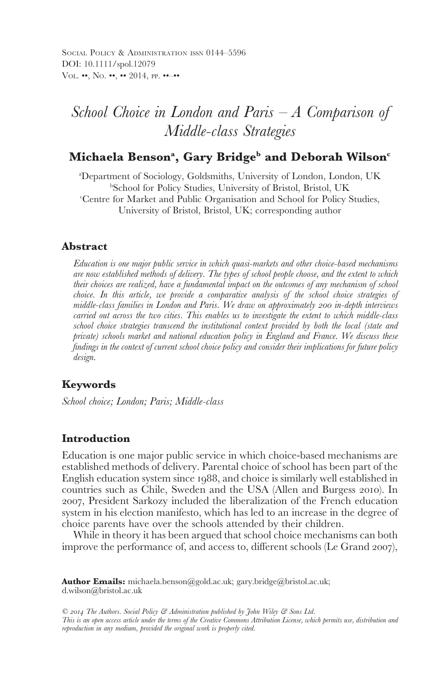SOCIAL POLICY & ADMINISTRATION ISSN 0144-5596 DOI: 10.1111/spol.12079 VOL. ••, No. ••, •• 2014, **PP.** ••–••

# *School Choice in London and Paris – A Comparison of Middle-class Strategies*

# $\mathbf{Michaela \; Benson^a, \; Gary \; Bridge^b \; and \; Deborah \; Wilson^c}$

a Department of Sociology, Goldsmiths, University of London, London, UK b School for Policy Studies, University of Bristol, Bristol, UK c Centre for Market and Public Organisation and School for Policy Studies, University of Bristol, Bristol, UK; corresponding author

# **Abstract**

*Education is one major public service in which quasi-markets and other choice-based mechanisms are now established methods of delivery. The types of school people choose, and the extent to which their choices are realized, have a fundamental impact on the outcomes of any mechanism of school choice. In this article, we provide a comparative analysis of the school choice strategies of middle-class families in London and Paris. We draw on approximately 200 in-depth interviews carried out across the two cities. This enables us to investigate the extent to which middle-class school choice strategies transcend the institutional context provided by both the local (state and private) schools market and national education policy in England and France. We discuss these findings in the context of current school choice policy and consider their implications for future policy design.*

# **Keywords**

*School choice; London; Paris; Middle-class*

# **Introduction**

Education is one major public service in which choice-based mechanisms are established methods of delivery. Parental choice of school has been part of the English education system since 1988, and choice is similarly well established in countries such as Chile, Sweden and the USA (Allen and Burgess 2010). In 2007, President Sarkozy included the liberalization of the French education system in his election manifesto, which has led to an increase in the degree of choice parents have over the schools attended by their children.

While in theory it has been argued that school choice mechanisms can both improve the performance of, and access to, different schools (Le Grand 2007),

**Author Emails:** [michaela.benson@gold.ac.uk;](mailto:michaela.benson@gold.ac.uk) [gary.bridge@bristol.ac.uk;](mailto:gary.bridge@bristol.ac.uk) [d.wilson@bristol.ac.uk](mailto:d.wilson@bristol.ac.uk)

*© 2014 The Authors. Social Policy & Administration published by John Wiley & Sons Ltd. This is an open access article under the terms of the [Creative Commons Attribution](http://creativecommons.org/licenses/by/3.0) License, which permits use, distribution and reproduction in any medium, provided the original work is properly cited.*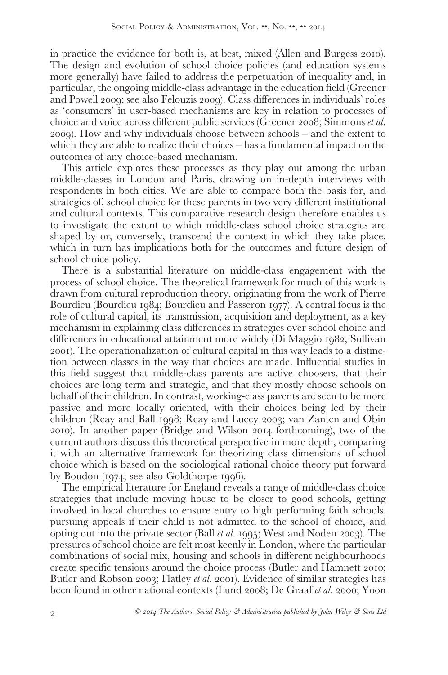in practice the evidence for both is, at best, mixed (Allen and Burgess 2010). The design and evolution of school choice policies (and education systems more generally) have failed to address the perpetuation of inequality and, in particular, the ongoing middle-class advantage in the education field (Greener and Powell 2009; see also Felouzis 2009). Class differences in individuals' roles as 'consumers' in user-based mechanisms are key in relation to processes of choice and voice across different public services (Greener 2008; Simmons *et al*. 2009). How and why individuals choose between schools – and the extent to which they are able to realize their choices – has a fundamental impact on the outcomes of any choice-based mechanism.

This article explores these processes as they play out among the urban middle-classes in London and Paris, drawing on in-depth interviews with respondents in both cities. We are able to compare both the basis for, and strategies of, school choice for these parents in two very different institutional and cultural contexts. This comparative research design therefore enables us to investigate the extent to which middle-class school choice strategies are shaped by or, conversely, transcend the context in which they take place, which in turn has implications both for the outcomes and future design of school choice policy.

There is a substantial literature on middle-class engagement with the process of school choice. The theoretical framework for much of this work is drawn from cultural reproduction theory, originating from the work of Pierre Bourdieu (Bourdieu 1984; Bourdieu and Passeron 1977). A central focus is the role of cultural capital, its transmission, acquisition and deployment, as a key mechanism in explaining class differences in strategies over school choice and differences in educational attainment more widely (Di Maggio 1982; Sullivan 2001). The operationalization of cultural capital in this way leads to a distinction between classes in the way that choices are made. Influential studies in this field suggest that middle-class parents are active choosers, that their choices are long term and strategic, and that they mostly choose schools on behalf of their children. In contrast, working-class parents are seen to be more passive and more locally oriented, with their choices being led by their children (Reay and Ball 1998; Reay and Lucey 2003; van Zanten and Obin 2010). In another paper (Bridge and Wilson 2014 forthcoming), two of the current authors discuss this theoretical perspective in more depth, comparing it with an alternative framework for theorizing class dimensions of school choice which is based on the sociological rational choice theory put forward by Boudon (1974; see also Goldthorpe 1996).

The empirical literature for England reveals a range of middle-class choice strategies that include moving house to be closer to good schools, getting involved in local churches to ensure entry to high performing faith schools, pursuing appeals if their child is not admitted to the school of choice, and opting out into the private sector (Ball *et al*. 1995; West and Noden 2003). The pressures of school choice are felt most keenly in London, where the particular combinations of social mix, housing and schools in different neighbourhoods create specific tensions around the choice process (Butler and Hamnett 2010; Butler and Robson 2003; Flatley *et al*. 2001). Evidence of similar strategies has been found in other national contexts (Lund 2008; De Graaf *et al*. 2000; Yoon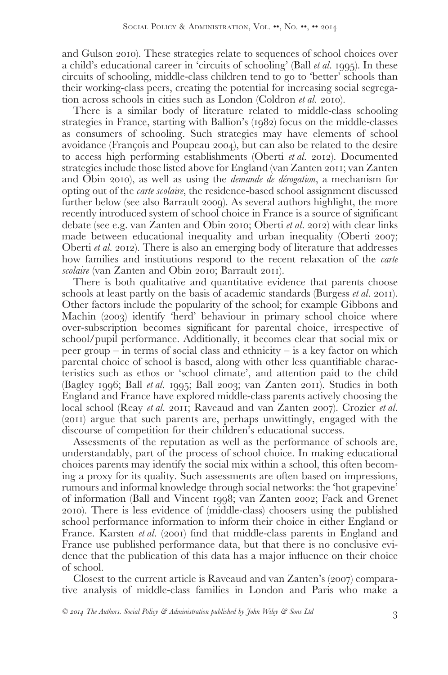and Gulson 2010). These strategies relate to sequences of school choices over a child's educational career in 'circuits of schooling' (Ball *et al*. 1995). In these circuits of schooling, middle-class children tend to go to 'better' schools than their working-class peers, creating the potential for increasing social segregation across schools in cities such as London (Coldron *et al*. 2010).

There is a similar body of literature related to middle-class schooling strategies in France, starting with Ballion's (1982) focus on the middle-classes as consumers of schooling. Such strategies may have elements of school avoidance (François and Poupeau 2004), but can also be related to the desire to access high performing establishments (Oberti *et al*. 2012). Documented strategies include those listed above for England (van Zanten 2011; van Zanten and Obin 2010), as well as using the *demande de dérogation*, a mechanism for opting out of the *carte scolaire*, the residence-based school assignment discussed further below (see also Barrault 2009). As several authors highlight, the more recently introduced system of school choice in France is a source of significant debate (see e.g. van Zanten and Obin 2010; Oberti *et al*. 2012) with clear links made between educational inequality and urban inequality (Oberti 2007; Oberti *et al*. 2012). There is also an emerging body of literature that addresses how families and institutions respond to the recent relaxation of the *carte scolaire* (van Zanten and Obin 2010; Barrault 2011).

There is both qualitative and quantitative evidence that parents choose schools at least partly on the basis of academic standards (Burgess *et al*. 2011). Other factors include the popularity of the school; for example Gibbons and Machin (2003) identify 'herd' behaviour in primary school choice where over-subscription becomes significant for parental choice, irrespective of school/pupil performance. Additionally, it becomes clear that social mix or peer group – in terms of social class and ethnicity – is a key factor on which parental choice of school is based, along with other less quantifiable characteristics such as ethos or 'school climate', and attention paid to the child (Bagley 1996; Ball *et al*. 1995; Ball 2003; van Zanten 2011). Studies in both England and France have explored middle-class parents actively choosing the local school (Reay *et al*. 2011; Raveaud and van Zanten 2007). Crozier *et al*. (2011) argue that such parents are, perhaps unwittingly, engaged with the discourse of competition for their children's educational success.

Assessments of the reputation as well as the performance of schools are, understandably, part of the process of school choice. In making educational choices parents may identify the social mix within a school, this often becoming a proxy for its quality. Such assessments are often based on impressions, rumours and informal knowledge through social networks: the 'hot grapevine' of information (Ball and Vincent 1998; van Zanten 2002; Fack and Grenet 2010). There is less evidence of (middle-class) choosers using the published school performance information to inform their choice in either England or France. Karsten *et al*. (2001) find that middle-class parents in England and France use published performance data, but that there is no conclusive evidence that the publication of this data has a major influence on their choice of school.

Closest to the current article is Raveaud and van Zanten's (2007) comparative analysis of middle-class families in London and Paris who make a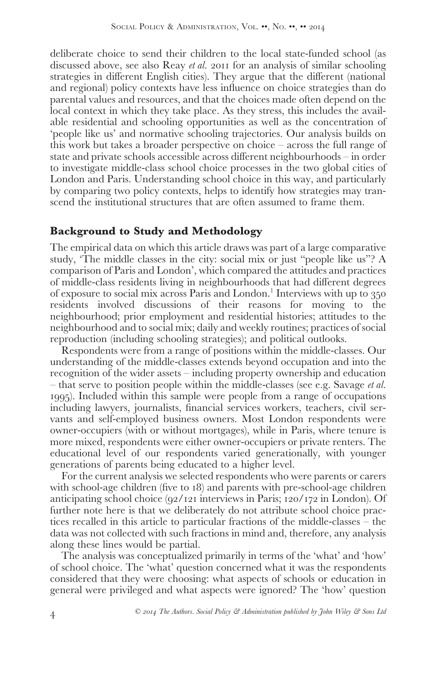deliberate choice to send their children to the local state-funded school (as discussed above, see also Reay *et al*. 2011 for an analysis of similar schooling strategies in different English cities). They argue that the different (national and regional) policy contexts have less influence on choice strategies than do parental values and resources, and that the choices made often depend on the local context in which they take place. As they stress, this includes the available residential and schooling opportunities as well as the concentration of 'people like us' and normative schooling trajectories. Our analysis builds on this work but takes a broader perspective on choice – across the full range of state and private schools accessible across different neighbourhoods – in order to investigate middle-class school choice processes in the two global cities of London and Paris. Understanding school choice in this way, and particularly by comparing two policy contexts, helps to identify how strategies may transcend the institutional structures that are often assumed to frame them.

# **Background to Study and Methodology**

The empirical data on which this article draws was part of a large comparative study, 'The middle classes in the city: social mix or just "people like us"? A comparison of Paris and London', which compared the attitudes and practices of middle-class residents living in neighbourhoods that had different degrees of exposure to social mix across Paris and London.<sup>1</sup> Interviews with up to  $350$ residents involved discussions of their reasons for moving to the neighbourhood; prior employment and residential histories; attitudes to the neighbourhood and to social mix; daily and weekly routines; practices of social reproduction (including schooling strategies); and political outlooks.

Respondents were from a range of positions within the middle-classes. Our understanding of the middle-classes extends beyond occupation and into the recognition of the wider assets – including property ownership and education – that serve to position people within the middle-classes (see e.g. Savage *et al*. 1995). Included within this sample were people from a range of occupations including lawyers, journalists, financial services workers, teachers, civil servants and self-employed business owners. Most London respondents were owner-occupiers (with or without mortgages), while in Paris, where tenure is more mixed, respondents were either owner-occupiers or private renters. The educational level of our respondents varied generationally, with younger generations of parents being educated to a higher level.

For the current analysis we selected respondents who were parents or carers with school-age children (five to 18) and parents with pre-school-age children anticipating school choice (92/121 interviews in Paris; 120/172 in London). Of further note here is that we deliberately do not attribute school choice practices recalled in this article to particular fractions of the middle-classes – the data was not collected with such fractions in mind and, therefore, any analysis along these lines would be partial.

The analysis was conceptualized primarily in terms of the 'what' and 'how' of school choice. The 'what' question concerned what it was the respondents considered that they were choosing: what aspects of schools or education in general were privileged and what aspects were ignored? The 'how' question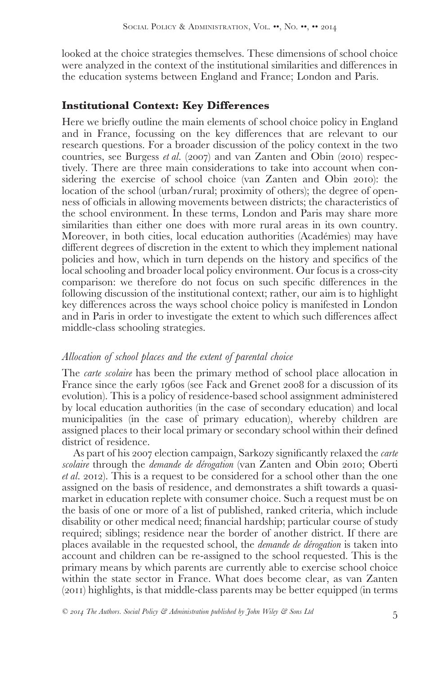looked at the choice strategies themselves. These dimensions of school choice were analyzed in the context of the institutional similarities and differences in the education systems between England and France; London and Paris.

# **Institutional Context: Key Differences**

Here we briefly outline the main elements of school choice policy in England and in France, focussing on the key differences that are relevant to our research questions. For a broader discussion of the policy context in the two countries, see Burgess *et al*. (2007) and van Zanten and Obin (2010) respectively. There are three main considerations to take into account when considering the exercise of school choice (van Zanten and Obin 2010): the location of the school (urban/rural; proximity of others); the degree of openness of officials in allowing movements between districts; the characteristics of the school environment. In these terms, London and Paris may share more similarities than either one does with more rural areas in its own country. Moreover, in both cities, local education authorities (Académies) may have different degrees of discretion in the extent to which they implement national policies and how, which in turn depends on the history and specifics of the local schooling and broader local policy environment. Our focus is a cross-city comparison: we therefore do not focus on such specific differences in the following discussion of the institutional context; rather, our aim is to highlight key differences across the ways school choice policy is manifested in London and in Paris in order to investigate the extent to which such differences affect middle-class schooling strategies.

# *Allocation of school places and the extent of parental choice*

The *carte scolaire* has been the primary method of school place allocation in France since the early 1960s (see Fack and Grenet 2008 for a discussion of its evolution). This is a policy of residence-based school assignment administered by local education authorities (in the case of secondary education) and local municipalities (in the case of primary education), whereby children are assigned places to their local primary or secondary school within their defined district of residence.

As part of his 2007 election campaign, Sarkozy significantly relaxed the *carte scolaire* through the *demande de dérogation* (van Zanten and Obin 2010; Oberti *et al*. 2012). This is a request to be considered for a school other than the one assigned on the basis of residence, and demonstrates a shift towards a quasimarket in education replete with consumer choice. Such a request must be on the basis of one or more of a list of published, ranked criteria, which include disability or other medical need; financial hardship; particular course of study required; siblings; residence near the border of another district. If there are places available in the requested school, the *demande de dérogation* is taken into account and children can be re-assigned to the school requested. This is the primary means by which parents are currently able to exercise school choice within the state sector in France. What does become clear, as van Zanten (2011) highlights, is that middle-class parents may be better equipped (in terms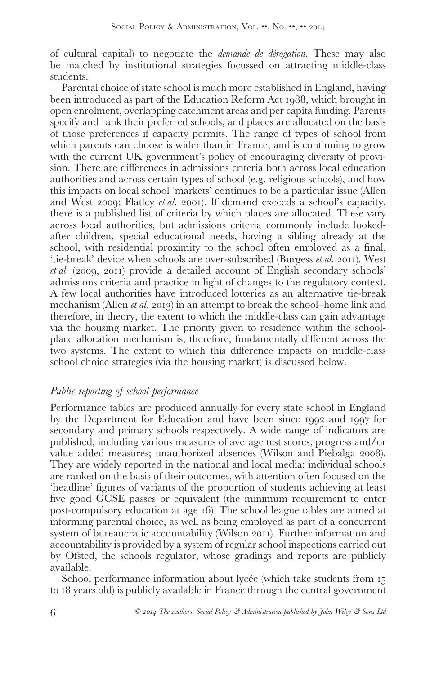of cultural capital) to negotiate the *demande de dérogation*. These may also be matched by institutional strategies focussed on attracting middle-class students.

Parental choice of state school is much more established in England, having been introduced as part of the Education Reform Act 1988, which brought in open enrolment, overlapping catchment areas and per capita funding. Parents specify and rank their preferred schools, and places are allocated on the basis of those preferences if capacity permits. The range of types of school from which parents can choose is wider than in France, and is continuing to grow with the current UK government's policy of encouraging diversity of provision. There are differences in admissions criteria both across local education authorities and across certain types of school (e.g. religious schools), and how this impacts on local school 'markets' continues to be a particular issue (Allen and West 2009; Flatley *et al*. 2001). If demand exceeds a school's capacity, there is a published list of criteria by which places are allocated. These vary across local authorities, but admissions criteria commonly include lookedafter children, special educational needs, having a sibling already at the school, with residential proximity to the school often employed as a final, 'tie-break' device when schools are over-subscribed (Burgess *et al*. 2011). West *et al*. (2009, 2011) provide a detailed account of English secondary schools' admissions criteria and practice in light of changes to the regulatory context. A few local authorities have introduced lotteries as an alternative tie-break mechanism (Allen *et al*. 2013) in an attempt to break the school–home link and therefore, in theory, the extent to which the middle-class can gain advantage via the housing market. The priority given to residence within the schoolplace allocation mechanism is, therefore, fundamentally different across the two systems. The extent to which this difference impacts on middle-class school choice strategies (via the housing market) is discussed below.

# *Public reporting of school performance*

Performance tables are produced annually for every state school in England by the Department for Education and have been since 1992 and 1997 for secondary and primary schools respectively. A wide range of indicators are published, including various measures of average test scores; progress and/or value added measures; unauthorized absences (Wilson and Piebalga 2008). They are widely reported in the national and local media: individual schools are ranked on the basis of their outcomes, with attention often focused on the 'headline' figures of variants of the proportion of students achieving at least five good GCSE passes or equivalent (the minimum requirement to enter post-compulsory education at age 16). The school league tables are aimed at informing parental choice, as well as being employed as part of a concurrent system of bureaucratic accountability (Wilson 2011). Further information and accountability is provided by a system of regular school inspections carried out by Ofsted, the schools regulator, whose gradings and reports are publicly available.

School performance information about lycée (which take students from 15 to 18 years old) is publicly available in France through the central government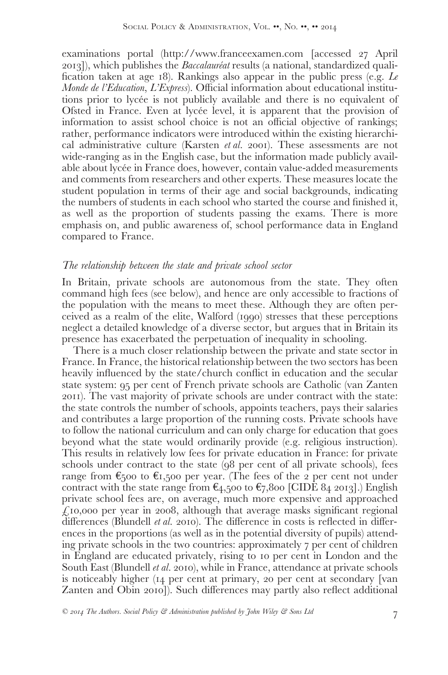examinations portal [\(http://www.franceexamen.com](http://www.franceexamen.com) [accessed 27 April 2013]), which publishes the *Baccalauréat* results (a national, standardized qualification taken at age 18). Rankings also appear in the public press (e.g. *Le Monde de l'Education*, *L'Express*). Official information about educational institutions prior to lycée is not publicly available and there is no equivalent of Ofsted in France. Even at lycée level, it is apparent that the provision of information to assist school choice is not an official objective of rankings; rather, performance indicators were introduced within the existing hierarchical administrative culture (Karsten *et al*. 2001). These assessments are not wide-ranging as in the English case, but the information made publicly available about lycée in France does, however, contain value-added measurements and comments from researchers and other experts. These measures locate the student population in terms of their age and social backgrounds, indicating the numbers of students in each school who started the course and finished it, as well as the proportion of students passing the exams. There is more emphasis on, and public awareness of, school performance data in England compared to France.

#### *The relationship between the state and private school sector*

In Britain, private schools are autonomous from the state. They often command high fees (see below), and hence are only accessible to fractions of the population with the means to meet these. Although they are often perceived as a realm of the elite, Walford (1990) stresses that these perceptions neglect a detailed knowledge of a diverse sector, but argues that in Britain its presence has exacerbated the perpetuation of inequality in schooling.

There is a much closer relationship between the private and state sector in France. In France, the historical relationship between the two sectors has been heavily influenced by the state/church conflict in education and the secular state system: 95 per cent of French private schools are Catholic (van Zanten 2011). The vast majority of private schools are under contract with the state: the state controls the number of schools, appoints teachers, pays their salaries and contributes a large proportion of the running costs. Private schools have to follow the national curriculum and can only charge for education that goes beyond what the state would ordinarily provide (e.g. religious instruction). This results in relatively low fees for private education in France: for private schools under contract to the state (98 per cent of all private schools), fees range from  $\epsilon_{500}$  to  $\epsilon_{1,500}$  per year. (The fees of the 2 per cent not under contract with the state range from  $\epsilon_{4,500}$  to  $\epsilon_{7,800}$  [CIDE 84 2013].) English private school fees are, on average, much more expensive and approached  $\epsilon$ ,10,000 per year in 2008, although that average masks significant regional differences (Blundell *et al*. 2010). The difference in costs is reflected in differences in the proportions (as well as in the potential diversity of pupils) attending private schools in the two countries: approximately 7 per cent of children in England are educated privately, rising to 10 per cent in London and the South East (Blundell *et al*. 2010), while in France, attendance at private schools is noticeably higher (14 per cent at primary, 20 per cent at secondary [van Zanten and Obin 2010]). Such differences may partly also reflect additional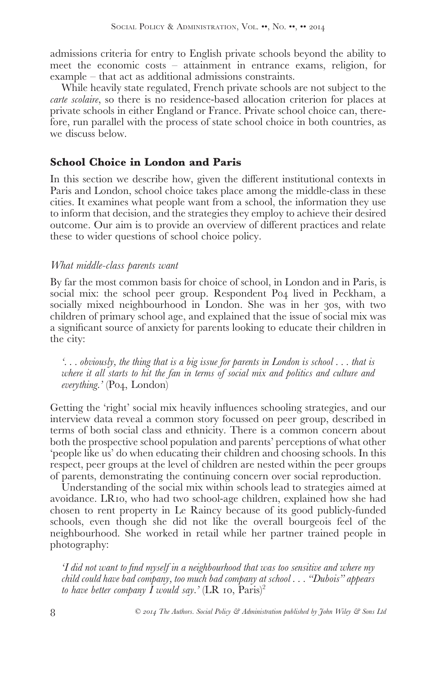admissions criteria for entry to English private schools beyond the ability to meet the economic costs – attainment in entrance exams, religion, for example – that act as additional admissions constraints.

While heavily state regulated, French private schools are not subject to the *carte scolaire*, so there is no residence-based allocation criterion for places at private schools in either England or France. Private school choice can, therefore, run parallel with the process of state school choice in both countries, as we discuss below.

# **School Choice in London and Paris**

In this section we describe how, given the different institutional contexts in Paris and London, school choice takes place among the middle-class in these cities. It examines what people want from a school, the information they use to inform that decision, and the strategies they employ to achieve their desired outcome. Our aim is to provide an overview of different practices and relate these to wider questions of school choice policy.

#### *What middle-class parents want*

By far the most common basis for choice of school, in London and in Paris, is social mix: the school peer group. Respondent P04 lived in Peckham, a socially mixed neighbourhood in London. She was in her 30s, with two children of primary school age, and explained that the issue of social mix was a significant source of anxiety for parents looking to educate their children in the city:

*'. . . obviously, the thing that is a big issue for parents in London is school . . . that is where it all starts to hit the fan in terms of social mix and politics and culture and everything.'* (P04, London)

Getting the 'right' social mix heavily influences schooling strategies, and our interview data reveal a common story focussed on peer group, described in terms of both social class and ethnicity. There is a common concern about both the prospective school population and parents' perceptions of what other 'people like us' do when educating their children and choosing schools. In this respect, peer groups at the level of children are nested within the peer groups of parents, demonstrating the continuing concern over social reproduction.

Understanding of the social mix within schools lead to strategies aimed at avoidance. LR10, who had two school-age children, explained how she had chosen to rent property in Le Raincy because of its good publicly-funded schools, even though she did not like the overall bourgeois feel of the neighbourhood. She worked in retail while her partner trained people in photography:

*'I did not want to find myself in a neighbourhood that was too sensitive and where my child could have bad company, too much bad company at school . . . "Dubois" appears to have better company I would say.'* (LR 10, Paris)<sup>2</sup>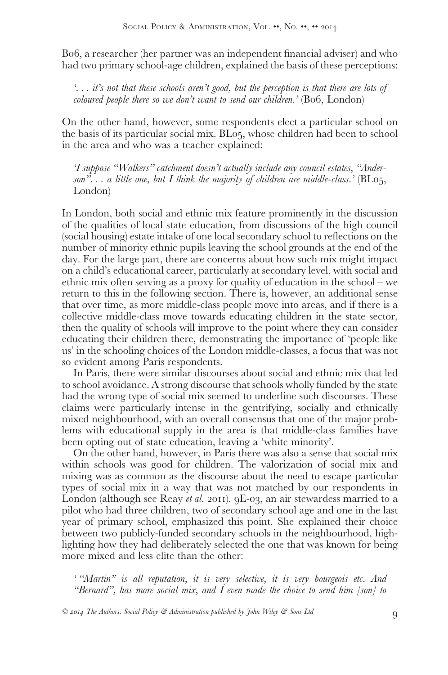B06, a researcher (her partner was an independent financial adviser) and who had two primary school-age children, explained the basis of these perceptions:

*'. . . it's not that these schools aren't good, but the perception is that there are lots of coloured people there so we don't want to send our children.'* (Bo6, London)

On the other hand, however, some respondents elect a particular school on the basis of its particular social mix. BL05, whose children had been to school in the area and who was a teacher explained:

*'I suppose "Walkers" catchment doesn't actually include any council estates, "Anderson". . . a little one, but I think the majority of children are middle-class.'* (BL05, London)

In London, both social and ethnic mix feature prominently in the discussion of the qualities of local state education, from discussions of the high council (social housing) estate intake of one local secondary school to reflections on the number of minority ethnic pupils leaving the school grounds at the end of the day. For the large part, there are concerns about how such mix might impact on a child's educational career, particularly at secondary level, with social and ethnic mix often serving as a proxy for quality of education in the school – we return to this in the following section. There is, however, an additional sense that over time, as more middle-class people move into areas, and if there is a collective middle-class move towards educating children in the state sector, then the quality of schools will improve to the point where they can consider educating their children there, demonstrating the importance of 'people like us' in the schooling choices of the London middle-classes, a focus that was not so evident among Paris respondents.

In Paris, there were similar discourses about social and ethnic mix that led to school avoidance. A strong discourse that schools wholly funded by the state had the wrong type of social mix seemed to underline such discourses. These claims were particularly intense in the gentrifying, socially and ethnically mixed neighbourhood, with an overall consensus that one of the major problems with educational supply in the area is that middle-class families have been opting out of state education, leaving a 'white minority'.

On the other hand, however, in Paris there was also a sense that social mix within schools was good for children. The valorization of social mix and mixing was as common as the discourse about the need to escape particular types of social mix in a way that was not matched by our respondents in London (although see Reay *et al*. 2011). 9E-03, an air stewardess married to a pilot who had three children, two of secondary school age and one in the last year of primary school, emphasized this point. She explained their choice between two publicly-funded secondary schools in the neighbourhood, highlighting how they had deliberately selected the one that was known for being more mixed and less elite than the other:

*' "Martin" is all reputation, it is very selective, it is very bourgeois etc. And "Bernard", has more social mix, and I even made the choice to send him [son] to*

*© 2014 The Authors. Social Policy & Administration published by John Wiley & Sons Ltd* 9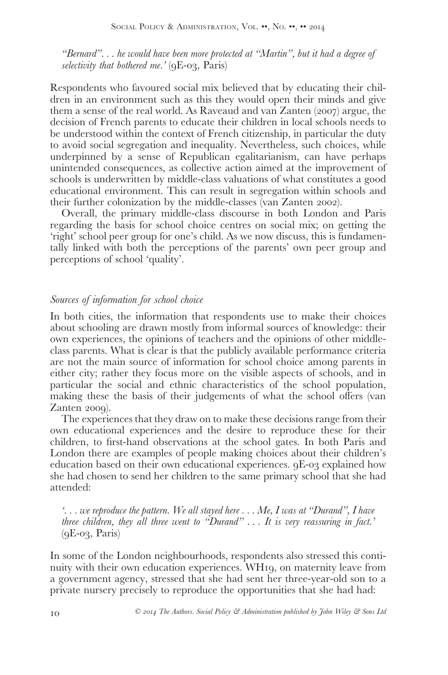*"Bernard". . . he would have been more protected at "Martin", but it had a degree of selectivity that bothered me.'* (9E-03, Paris)

Respondents who favoured social mix believed that by educating their children in an environment such as this they would open their minds and give them a sense of the real world. As Raveaud and van Zanten (2007) argue, the decision of French parents to educate their children in local schools needs to be understood within the context of French citizenship, in particular the duty to avoid social segregation and inequality. Nevertheless, such choices, while underpinned by a sense of Republican egalitarianism, can have perhaps unintended consequences, as collective action aimed at the improvement of schools is underwritten by middle-class valuations of what constitutes a good educational environment. This can result in segregation within schools and their further colonization by the middle-classes (van Zanten 2002).

Overall, the primary middle-class discourse in both London and Paris regarding the basis for school choice centres on social mix; on getting the 'right' school peer group for one's child. As we now discuss, this is fundamentally linked with both the perceptions of the parents' own peer group and perceptions of school 'quality'.

#### *Sources of information for school choice*

In both cities, the information that respondents use to make their choices about schooling are drawn mostly from informal sources of knowledge: their own experiences, the opinions of teachers and the opinions of other middleclass parents. What is clear is that the publicly available performance criteria are not the main source of information for school choice among parents in either city; rather they focus more on the visible aspects of schools, and in particular the social and ethnic characteristics of the school population, making these the basis of their judgements of what the school offers (van Zanten 2009).

The experiences that they draw on to make these decisions range from their own educational experiences and the desire to reproduce these for their children, to first-hand observations at the school gates. In both Paris and London there are examples of people making choices about their children's education based on their own educational experiences. 9E-03 explained how she had chosen to send her children to the same primary school that she had attended:

*'. . . we reproduce the pattern. We all stayed here . . . Me, I was at "Durand", I have three children, they all three went to "Durand" . . . It is very reassuring in fact.'*  $(9E-03, Paris)$ 

In some of the London neighbourhoods, respondents also stressed this continuity with their own education experiences. WH19, on maternity leave from a government agency, stressed that she had sent her three-year-old son to a private nursery precisely to reproduce the opportunities that she had had: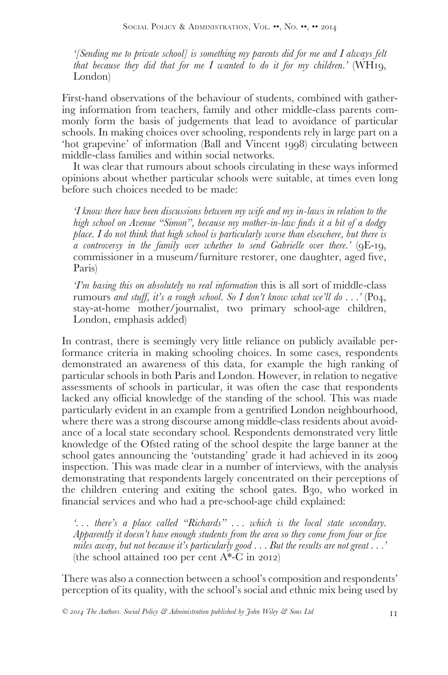*'[Sending me to private school] is something my parents did for me and I always felt that because they did that for me I wanted to do it for my children.'* (WH19, London)

First-hand observations of the behaviour of students, combined with gathering information from teachers, family and other middle-class parents commonly form the basis of judgements that lead to avoidance of particular schools. In making choices over schooling, respondents rely in large part on a 'hot grapevine' of information (Ball and Vincent 1998) circulating between middle-class families and within social networks.

It was clear that rumours about schools circulating in these ways informed opinions about whether particular schools were suitable, at times even long before such choices needed to be made:

*'I know there have been discussions between my wife and my in-laws in relation to the high school on Avenue "Simon", because my mother-in-law finds it a bit of a dodgy place. I do not think that high school is particularly worse than elsewhere, but there is a controversy in the family over whether to send Gabrielle over there.'* (9E-19, commissioner in a museum/furniture restorer, one daughter, aged five, Paris)

*'I'm basing this on absolutely no real information* this is all sort of middle-class rumours *and stuff, it's a rough school. So I don't know what we'll do . . .'* (P04, stay-at-home mother/journalist, two primary school-age children, London, emphasis added)

In contrast, there is seemingly very little reliance on publicly available performance criteria in making schooling choices. In some cases, respondents demonstrated an awareness of this data, for example the high ranking of particular schools in both Paris and London. However, in relation to negative assessments of schools in particular, it was often the case that respondents lacked any official knowledge of the standing of the school. This was made particularly evident in an example from a gentrified London neighbourhood, where there was a strong discourse among middle-class residents about avoidance of a local state secondary school. Respondents demonstrated very little knowledge of the Ofsted rating of the school despite the large banner at the school gates announcing the 'outstanding' grade it had achieved in its 2009 inspection. This was made clear in a number of interviews, with the analysis demonstrating that respondents largely concentrated on their perceptions of the children entering and exiting the school gates. B30, who worked in financial services and who had a pre-school-age child explained:

*'. . . there's a place called "Richards" . . . which is the local state secondary. Apparently it doesn't have enough students from the area so they come from four or five miles away, but not because it's particularly good . . . But the results are not great . . .'* (the school attained 100 per cent A\*-C in 2012)

There was also a connection between a school's composition and respondents' perception of its quality, with the school's social and ethnic mix being used by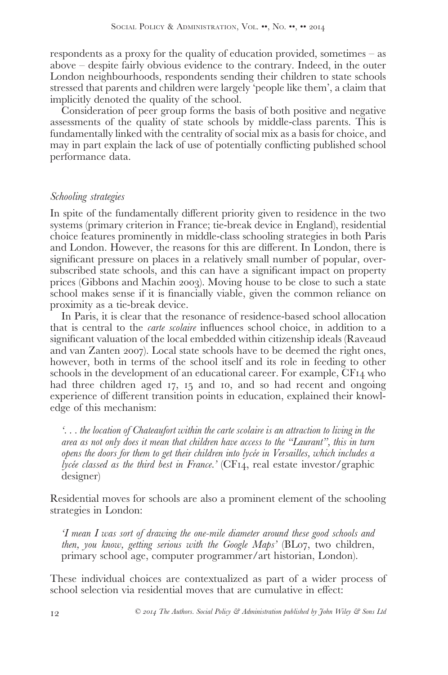respondents as a proxy for the quality of education provided, sometimes – as above – despite fairly obvious evidence to the contrary. Indeed, in the outer London neighbourhoods, respondents sending their children to state schools stressed that parents and children were largely 'people like them', a claim that implicitly denoted the quality of the school.

Consideration of peer group forms the basis of both positive and negative assessments of the quality of state schools by middle-class parents. This is fundamentally linked with the centrality of social mix as a basis for choice, and may in part explain the lack of use of potentially conflicting published school performance data.

#### *Schooling strategies*

In spite of the fundamentally different priority given to residence in the two systems (primary criterion in France; tie-break device in England), residential choice features prominently in middle-class schooling strategies in both Paris and London. However, the reasons for this are different. In London, there is significant pressure on places in a relatively small number of popular, oversubscribed state schools, and this can have a significant impact on property prices (Gibbons and Machin 2003). Moving house to be close to such a state school makes sense if it is financially viable, given the common reliance on proximity as a tie-break device.

In Paris, it is clear that the resonance of residence-based school allocation that is central to the *carte scolaire* influences school choice, in addition to a significant valuation of the local embedded within citizenship ideals (Raveaud and van Zanten 2007). Local state schools have to be deemed the right ones, however, both in terms of the school itself and its role in feeding to other schools in the development of an educational career. For example, CF14 who had three children aged 17, 15 and 10, and so had recent and ongoing experience of different transition points in education, explained their knowledge of this mechanism:

*'. . . the location of Chateaufort within the carte scolaire is an attraction to living in the area as not only does it mean that children have access to the "Laurant", this in turn opens the doors for them to get their children into lycée in Versailles, which includes a lycée classed as the third best in France.'* (CF14, real estate investor/graphic designer)

Residential moves for schools are also a prominent element of the schooling strategies in London:

*'I mean I was sort of drawing the one-mile diameter around these good schools and then, you know, getting serious with the Google Maps'* (BL07, two children, primary school age, computer programmer/art historian, London).

These individual choices are contextualized as part of a wider process of school selection via residential moves that are cumulative in effect: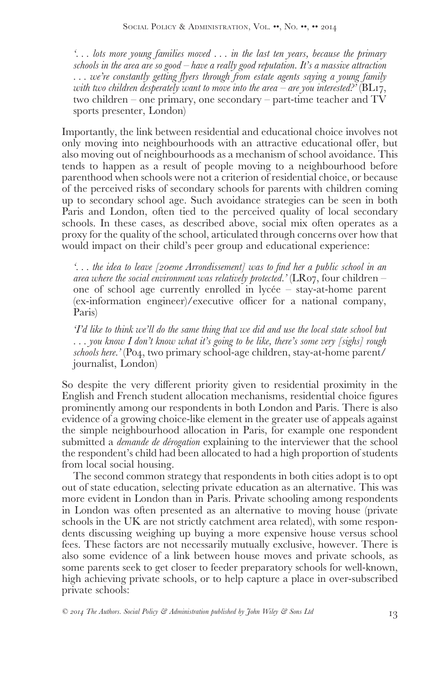*'. . . lots more young families moved . . . in the last ten years, because the primary schools in the area are so good – have a really good reputation. It's a massive attraction . . . we're constantly getting flyers through from estate agents saying a young family with two children desperately want to move into the area – are you interested?'* (BL17, two children – one primary, one secondary – part-time teacher and TV sports presenter, London)

Importantly, the link between residential and educational choice involves not only moving into neighbourhoods with an attractive educational offer, but also moving out of neighbourhoods as a mechanism of school avoidance. This tends to happen as a result of people moving to a neighbourhood before parenthood when schools were not a criterion of residential choice, or because of the perceived risks of secondary schools for parents with children coming up to secondary school age. Such avoidance strategies can be seen in both Paris and London, often tied to the perceived quality of local secondary schools. In these cases, as described above, social mix often operates as a proxy for the quality of the school, articulated through concerns over how that would impact on their child's peer group and educational experience:

*'. . . the idea to leave [20eme Arrondissement] was to find her a public school in an area where the social environment was relatively protected.'* (LR07, four children – one of school age currently enrolled in lycée – stay-at-home parent (ex-information engineer)/executive officer for a national company, Paris)

*'I'd like to think we'll do the same thing that we did and use the local state school but . . . you know I don't know what it's going to be like, there's some very [sighs] rough schools here.'* (P04, two primary school-age children, stay-at-home parent/ journalist, London)

So despite the very different priority given to residential proximity in the English and French student allocation mechanisms, residential choice figures prominently among our respondents in both London and Paris. There is also evidence of a growing choice-like element in the greater use of appeals against the simple neighbourhood allocation in Paris, for example one respondent submitted a *demande de dérogation* explaining to the interviewer that the school the respondent's child had been allocated to had a high proportion of students from local social housing.

The second common strategy that respondents in both cities adopt is to opt out of state education, selecting private education as an alternative. This was more evident in London than in Paris. Private schooling among respondents in London was often presented as an alternative to moving house (private schools in the UK are not strictly catchment area related), with some respondents discussing weighing up buying a more expensive house versus school fees. These factors are not necessarily mutually exclusive, however. There is also some evidence of a link between house moves and private schools, as some parents seek to get closer to feeder preparatory schools for well-known, high achieving private schools, or to help capture a place in over-subscribed private schools: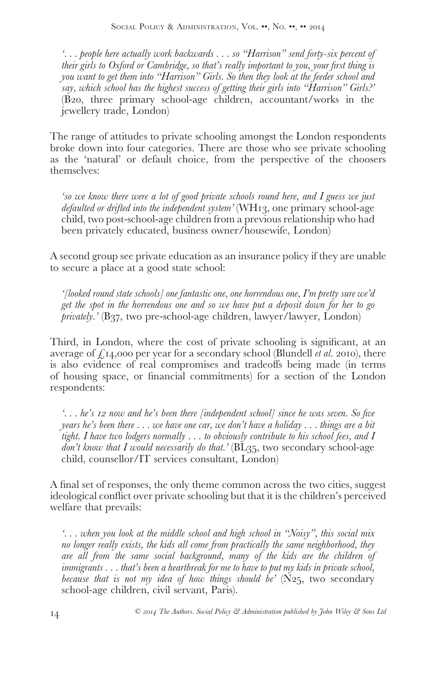*'. . . people here actually work backwards . . . so "Harrison" send forty-six percent of their girls to Oxford or Cambridge, so that's really important to you, your first thing is you want to get them into "Harrison" Girls. So then they look at the feeder school and say, which school has the highest success of getting their girls into "Harrison" Girls?'* (B20, three primary school-age children, accountant/works in the jewellery trade, London)

The range of attitudes to private schooling amongst the London respondents broke down into four categories. There are those who see private schooling as the 'natural' or default choice, from the perspective of the choosers themselves:

*'so we know there were a lot of good private schools round here, and I guess we just defaulted or drifted into the independent system'* (WH13, one primary school-age child, two post-school-age children from a previous relationship who had been privately educated, business owner/housewife, London)

A second group see private education as an insurance policy if they are unable to secure a place at a good state school:

*'[looked round state schools] one fantastic one, one horrendous one, I'm pretty sure we'd get the spot in the horrendous one and so we have put a deposit down for her to go privately.'* (B37, two pre-school-age children, lawyer/lawyer, London)

Third, in London, where the cost of private schooling is significant, at an average of £14,000 per year for a secondary school (Blundell *et al*. 2010), there is also evidence of real compromises and tradeoffs being made (in terms of housing space, or financial commitments) for a section of the London respondents:

*'. . . he's 12 now and he's been there [independent school] since he was seven. So five years he's been there . . . we have one car, we don't have a holiday . . . things are a bit tight. I have two lodgers normally . . . to obviously contribute to his school fees, and I don't know that I would necessarily do that.'* (BL<sub>35</sub>, two secondary school-age child, counsellor/IT services consultant, London)

A final set of responses, the only theme common across the two cities, suggest ideological conflict over private schooling but that it is the children's perceived welfare that prevails:

*'. . . when you look at the middle school and high school in "Noisy", this social mix no longer really exists, the kids all come from practically the same neighborhood, they are all from the same social background, many of the kids are the children of immigrants . . . that's been a heartbreak for me to have to put my kids in private school, because that is not my idea of how things should be'* (N25, two secondary school-age children, civil servant, Paris).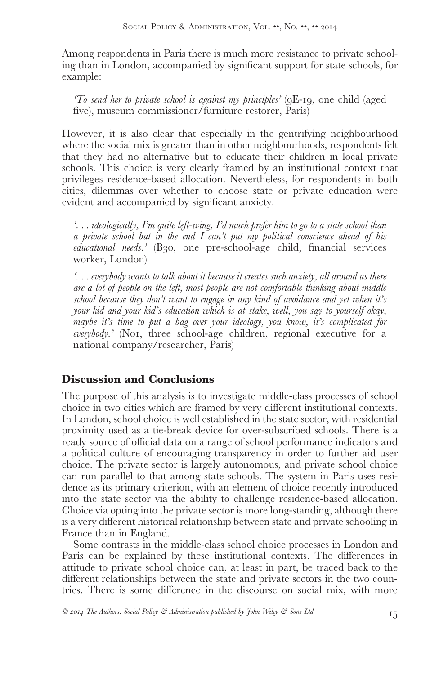Among respondents in Paris there is much more resistance to private schooling than in London, accompanied by significant support for state schools, for example:

*'To send her to private school is against my principles'* (9E-19, one child (aged five), museum commissioner/furniture restorer, Paris)

However, it is also clear that especially in the gentrifying neighbourhood where the social mix is greater than in other neighbourhoods, respondents felt that they had no alternative but to educate their children in local private schools. This choice is very clearly framed by an institutional context that privileges residence-based allocation. Nevertheless, for respondents in both cities, dilemmas over whether to choose state or private education were evident and accompanied by significant anxiety.

*'. . . ideologically, I'm quite left-wing, I'd much prefer him to go to a state school than a private school but in the end I can't put my political conscience ahead of his educational needs.'* (B30, one pre-school-age child, financial services worker, London)

*'. . . everybody wants to talk about it because it creates such anxiety, all around us there are a lot of people on the left, most people are not comfortable thinking about middle school because they don't want to engage in any kind of avoidance and yet when it's your kid and your kid's education which is at stake, well, you say to yourself okay, maybe it's time to put a bag over your ideology, you know, it's complicated for everybody.'* (N01, three school-age children, regional executive for a national company/researcher, Paris)

# **Discussion and Conclusions**

The purpose of this analysis is to investigate middle-class processes of school choice in two cities which are framed by very different institutional contexts. In London, school choice is well established in the state sector, with residential proximity used as a tie-break device for over-subscribed schools. There is a ready source of official data on a range of school performance indicators and a political culture of encouraging transparency in order to further aid user choice. The private sector is largely autonomous, and private school choice can run parallel to that among state schools. The system in Paris uses residence as its primary criterion, with an element of choice recently introduced into the state sector via the ability to challenge residence-based allocation. Choice via opting into the private sector is more long-standing, although there is a very different historical relationship between state and private schooling in France than in England.

Some contrasts in the middle-class school choice processes in London and Paris can be explained by these institutional contexts. The differences in attitude to private school choice can, at least in part, be traced back to the different relationships between the state and private sectors in the two countries. There is some difference in the discourse on social mix, with more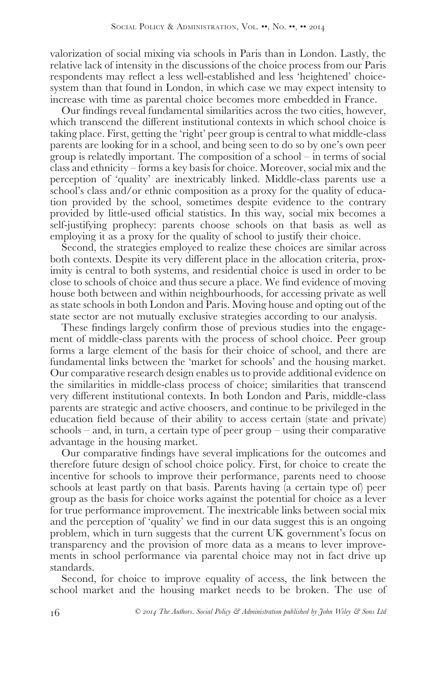valorization of social mixing via schools in Paris than in London. Lastly, the relative lack of intensity in the discussions of the choice process from our Paris respondents may reflect a less well-established and less 'heightened' choicesystem than that found in London, in which case we may expect intensity to increase with time as parental choice becomes more embedded in France.

Our findings reveal fundamental similarities across the two cities, however, which transcend the different institutional contexts in which school choice is taking place. First, getting the 'right' peer group is central to what middle-class parents are looking for in a school, and being seen to do so by one's own peer group is relatedly important. The composition of a school – in terms of social class and ethnicity – forms a key basis for choice. Moreover, social mix and the perception of 'quality' are inextricably linked. Middle-class parents use a school's class and/or ethnic composition as a proxy for the quality of education provided by the school, sometimes despite evidence to the contrary provided by little-used official statistics. In this way, social mix becomes a self-justifying prophecy: parents choose schools on that basis as well as employing it as a proxy for the quality of school to justify their choice.

Second, the strategies employed to realize these choices are similar across both contexts. Despite its very different place in the allocation criteria, proximity is central to both systems, and residential choice is used in order to be close to schools of choice and thus secure a place. We find evidence of moving house both between and within neighbourhoods, for accessing private as well as state schools in both London and Paris. Moving house and opting out of the state sector are not mutually exclusive strategies according to our analysis.

These findings largely confirm those of previous studies into the engagement of middle-class parents with the process of school choice. Peer group forms a large element of the basis for their choice of school, and there are fundamental links between the 'market for schools' and the housing market. Our comparative research design enables us to provide additional evidence on the similarities in middle-class process of choice; similarities that transcend very different institutional contexts. In both London and Paris, middle-class parents are strategic and active choosers, and continue to be privileged in the education field because of their ability to access certain (state and private) schools – and, in turn, a certain type of peer group – using their comparative advantage in the housing market.

Our comparative findings have several implications for the outcomes and therefore future design of school choice policy. First, for choice to create the incentive for schools to improve their performance, parents need to choose schools at least partly on that basis. Parents having (a certain type of) peer group as the basis for choice works against the potential for choice as a lever for true performance improvement. The inextricable links between social mix and the perception of 'quality' we find in our data suggest this is an ongoing problem, which in turn suggests that the current UK government's focus on transparency and the provision of more data as a means to lever improvements in school performance via parental choice may not in fact drive up standards.

Second, for choice to improve equality of access, the link between the school market and the housing market needs to be broken. The use of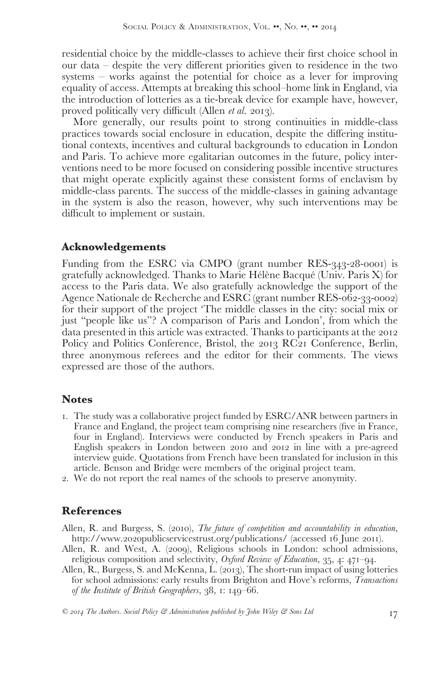residential choice by the middle-classes to achieve their first choice school in our data – despite the very different priorities given to residence in the two systems – works against the potential for choice as a lever for improving equality of access. Attempts at breaking this school–home link in England, via the introduction of lotteries as a tie-break device for example have, however, proved politically very difficult (Allen *et al*. 2013).

More generally, our results point to strong continuities in middle-class practices towards social enclosure in education, despite the differing institutional contexts, incentives and cultural backgrounds to education in London and Paris. To achieve more egalitarian outcomes in the future, policy interventions need to be more focused on considering possible incentive structures that might operate explicitly against these consistent forms of enclavism by middle-class parents. The success of the middle-classes in gaining advantage in the system is also the reason, however, why such interventions may be difficult to implement or sustain.

# **Acknowledgements**

Funding from the ESRC via CMPO (grant number RES-343-28-0001) is gratefully acknowledged. Thanks to Marie Hélène Bacqué (Univ. Paris X) for access to the Paris data. We also gratefully acknowledge the support of the Agence Nationale de Recherche and ESRC (grant number RES-062-33-0002) for their support of the project 'The middle classes in the city: social mix or just "people like us"? A comparison of Paris and London', from which the data presented in this article was extracted. Thanks to participants at the 2012 Policy and Politics Conference, Bristol, the 2013 RC21 Conference, Berlin, three anonymous referees and the editor for their comments. The views expressed are those of the authors.

# **Notes**

- 1. The study was a collaborative project funded by ESRC/ANR between partners in France and England, the project team comprising nine researchers (five in France, four in England). Interviews were conducted by French speakers in Paris and English speakers in London between 2010 and 2012 in line with a pre-agreed interview guide. Quotations from French have been translated for inclusion in this article. Benson and Bridge were members of the original project team.
- 2. We do not report the real names of the schools to preserve anonymity.

# **References**

Allen, R. and Burgess, S. (2010), *The future of competition and accountability in education*, http://www.2020[publicservicestrust.org/publications/](http://www.2020publicservicestrust.org/publications/) (accessed 16 June 2011).

- Allen, R. and West, A. (2009), Religious schools in London: school admissions, religious composition and selectivity, *Oxford Review of Education*, 35, 4: 471–94.
- Allen, R., Burgess, S. and McKenna, L. (2013), The short-run impact of using lotteries for school admissions: early results from Brighton and Hove's reforms, *Transactions of the Institute of British Geographers*, 38, 1: 149–66.

*© 2014 The Authors. Social Policy & Administration published by John Wiley & Sons Ltd* 17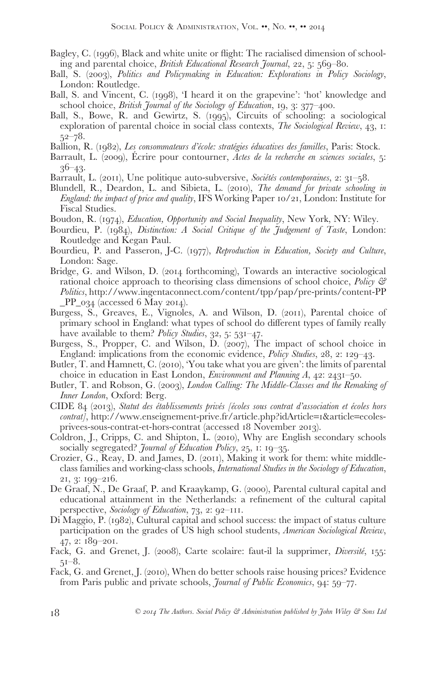- Bagley, C. (1996), Black and white unite or flight: The racialised dimension of schooling and parental choice, *British Educational Research Journal*, 22, 5: 569–80.
- Ball, S. (2003), *Politics and Policymaking in Education: Explorations in Policy Sociology*, London: Routledge.
- Ball, S. and Vincent, C. (1998), 'I heard it on the grapevine': 'hot' knowledge and school choice, *British Journal of the Sociology of Education*, 19, 3: 377–400.
- Ball, S., Bowe, R. and Gewirtz, S. (1995), Circuits of schooling: a sociological exploration of parental choice in social class contexts, *The Sociological Review*, 43, 1: 52–78.
- Ballion, R. (1982), *Les consommateurs d'école: stratégies éducatives des familles*, Paris: Stock.
- Barrault, L. (2009), Écrire pour contourner, *Actes de la recherche en sciences sociales*, 5: 36–43.
- Barrault, L. (2011), Une politique auto-subversive, *Sociétés contemporaines*, 2: 31–58.
- Blundell, R., Deardon, L. and Sibieta, L. (2010), *The demand for private schooling in England: the impact of price and quality*, IFS Working Paper 10/21, London: Institute for Fiscal Studies.
- Boudon, R. (1974), *Education, Opportunity and Social Inequality*, New York, NY: Wiley.
- Bourdieu, P. (1984), *Distinction: A Social Critique of the Judgement of Taste*, London: Routledge and Kegan Paul.
- Bourdieu, P. and Passeron, J-C. (1977), *Reproduction in Education, Society and Culture*, London: Sage.
- Bridge, G. and Wilson, D. (2014 forthcoming), Towards an interactive sociological rational choice approach to theorising class dimensions of school choice, *Policy & Politics*, [http://www.ingentaconnect.com/content/tpp/pap/pre-prints/content-PP](http://www.ingentaconnect.com/content/tpp/pap/pre-prints/content-PP_PP_034)  $\angle$ PP $\angle$ 034 (accessed 6 May 2014).
- Burgess, S., Greaves, E., Vignoles, A. and Wilson, D. (2011), Parental choice of primary school in England: what types of school do different types of family really have available to them? *Policy Studies*, 32, 5: 531–47.
- Burgess, S., Propper, C. and Wilson, D. (2007), The impact of school choice in England: implications from the economic evidence, *Policy Studies*, 28, 2: 129–43.
- Butler, T. and Hamnett, C. (2010), 'You take what you are given': the limits of parental choice in education in East London, *Environment and Planning A*, 42: 2431–50.
- Butler, T. and Robson, G. (2003), *London Calling: The Middle-Classes and the Remaking of Inner London*, Oxford: Berg.
- CIDE 84 (2013), *Statut des établissements privés [écoles sous contrat d'association et écoles hors contrat]*, [http://www.enseignement-prive.fr/article.php?idArticle](http://www.enseignement-prive.fr/article.php?idArticle=1&article=ecoles-privees-sous-contrat-et-hors-contrat)=1&article=ecoles[privees-sous-contrat-et-hors-contrat](http://www.enseignement-prive.fr/article.php?idArticle=1&article=ecoles-privees-sous-contrat-et-hors-contrat) (accessed 18 November 2013).
- Coldron, J., Cripps, C. and Shipton, L. (2010), Why are English secondary schools socially segregated? *Journal of Education Policy*, 25, 1: 19–35.
- Crozier, G., Reay, D. and James, D. (2011), Making it work for them: white middleclass families and working-class schools, *International Studies in the Sociology of Education*, 21, 3: 199–216.
- De Graaf, N., De Graaf, P. and Kraaykamp, G. (2000), Parental cultural capital and educational attainment in the Netherlands: a refinement of the cultural capital perspective, *Sociology of Education*, 73, 2: 92–111.
- Di Maggio, P. (1982), Cultural capital and school success: the impact of status culture participation on the grades of US high school students, *American Sociological Review*, 47, 2: 189–201.
- Fack, G. and Grenet, J. (2008), Carte scolaire: faut-il la supprimer, *Diversité*, 155: 51–8.
- Fack, G. and Grenet, J. (2010), When do better schools raise housing prices? Evidence from Paris public and private schools, *Journal of Public Economics*, 94: 59–77.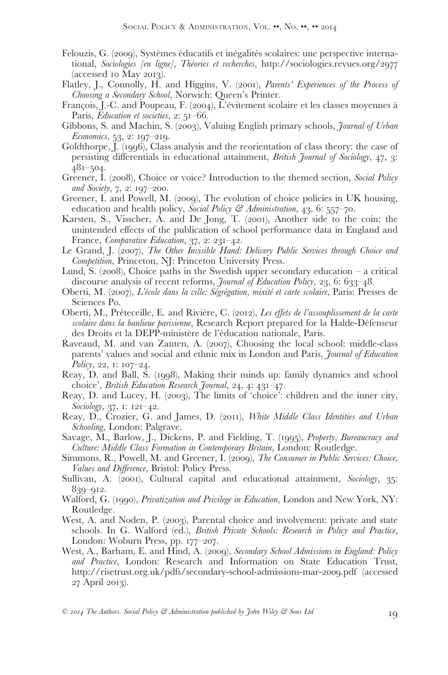- Felouzis, G. (2009), Systèmes èducatifs et inégalités scolaires: une perspective international, *Sociologies [en ligne], Théories et recherches*, [http://sociologies.revues.org/](http://sociologies.revues.org/2977)2977 (accessed 10 May 2013).
- Flatley, J., Connolly, H. and Higgins, V. (2001), *Parents' Experiences of the Process of Choosing a Secondary School*, Norwich: Queen's Printer.
- François, J.-C. and Poupeau, F. (2004), L'évitement scolaire et les classes moyennes à Paris, *Education et societies*, 2: 51–66.
- Gibbons, S. and Machin, S. (2003), Valuing English primary schools, *Journal of Urban Economics*, 53, 2: 197–219.
- Goldthorpe, J. (1996), Class analysis and the reorientation of class theory: the case of persisting differentials in educational attainment, *British Journal of Sociology*, 47, 3:  $481 - 504.$
- Greener, I. (2008), Choice or voice? Introduction to the themed section, *Social Policy and Society*, 7, 2: 197–200.
- Greener, I. and Powell, M. (2009), The evolution of choice policies in UK housing, education and health policy, *Social Policy & Administration*, 43, 6: 557–70.
- Karsten, S., Visscher, A. and De Jong, T. (2001), Another side to the coin: the unintended effects of the publication of school performance data in England and France, *Comparative Education*, 37, 2: 231–42.
- Le Grand, J. (2007), *The Other Invisible Hand: Delivery Public Services through Choice and Competition*, Princeton, NJ: Princeton University Press.
- Lund, S. (2008), Choice paths in the Swedish upper secondary education a critical discourse analysis of recent reforms, *Journal of Education Policy*, 23, 6: 633–48.
- Oberti, M. (2007), *L'école dans la ville: Ségrégation, mixité et carte scolaire*, Paris: Presses de Sciences Po.
- Oberti, M., Préteceille, E. and Rivière, C. (2012), *Les effets de l'assouplissement de la carte scolaire dans la banlieue parisienne*, Research Report prepared for la Halde-Défenseur des Droits et la DEPP-ministère de l'éducation nationale, Paris.
- Raveaud, M. and van Zanten, A. (2007), Choosing the local school: middle-class parents' values and social and ethnic mix in London and Paris, *Journal of Education Policy*, 22, 1: 107–24.
- Reay, D. and Ball, S. (1998), Making their minds up: family dynamics and school choice', *British Education Research Journal*, 24, 4: 431–47.
- Reay, D. and Lucey, H. (2003), The limits of 'choice': children and the inner city, *Sociology*, 37, 1: 121–42.
- Reay, D., Crozier, G. and James, D. (2011), *White Middle Class Identities and Urban Schooling*, London: Palgrave.
- Savage, M., Barlow, J., Dickens, P. and Fielding, T. (1995), *Property, Bureaucracy and Culture: Middle Class Formation in Contemporary Britain*, London: Routledge.
- Simmons, R., Powell, M. and Greener, I. (2009), *The Consumer in Public Services: Choice, Values and Difference*, Bristol: Policy Press.
- Sullivan, A. (2001), Cultural capital and educational attainment, *Sociology*, 35: 839–912.
- Walford, G. (1990), *Privatization and Privilege in Education*, London and New York, NY: Routledge.
- West, A. and Noden, P. (2003), Parental choice and involvement: private and state schools. In G. Walford (ed.), *British Private Schools: Research in Policy and Practice*, London: Woburn Press, pp. 177–207.
- West, A., Barham, E. and Hind, A. (2009), *Secondary School Admissions in England: Policy and Practice*, London: Research and Information on State Education Trust, [http://risetrust.org.uk/pdfs/secondary-school-admissions-mar-](http://risetrust.org.uk/pdfs/secondary-school-admissions-mar-2009.pdf)2009.pdf (accessed 27 April 2013).